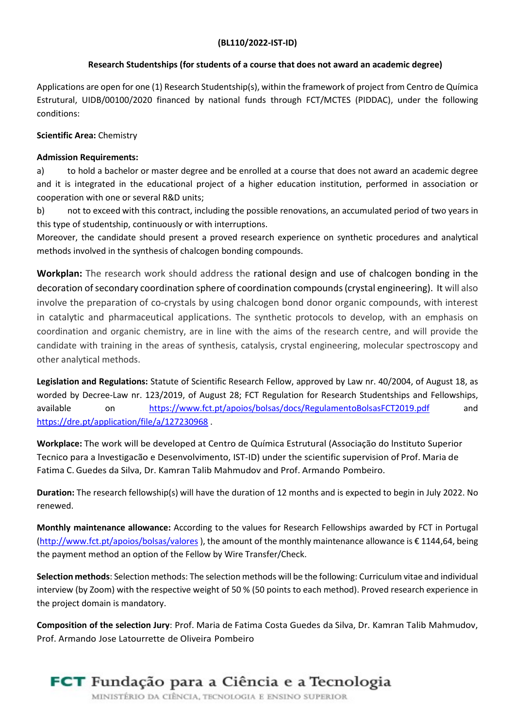## Research Studentships (for students of a course that does not award an academic degree)

Applications are open for one (1) Research Studentship(s), within the framework of project from Centro de Química Estrutural, UIDB/00100/2020 financed by national funds through FCT/MCTES (PIDDAC), under the following conditions:

## Scientific Area: Chemistry

## **Admission Requirements:**

a) to hold a bachelor or master degree and be enrolled at a course that does not award an academic degree and it is integrated in the educational project of a higher education institution, performed in association or cooperation with one or several R&D units;

b) not to exceed with this contract, including the possible renovations, an accumulated period of two years in this type of studentship, continuously or with interruptions.

Moreover, the candidate should present a proved research experience on synthetic procedures and analytical methods involved in the synthesis of chalcogen bonding compounds.

Workplan: The research work should address the rational design and use of chalcogen bonding in the decoration of secondary coordination sphere of coordination compounds (crystal engineering). It will also involve the preparation of co-crystals by using chalcogen bond donor organic compounds, with interest in catalytic and pharmaceutical applications. The synthetic protocols to develop, with an emphasis on coordination and organic chemistry, are in line with the aims of the research centre, and will provide the candidate with training in the areas of synthesis, catalysis, crystal engineering, molecular spectroscopy and other analytical methods.

Legislation and Regulations: Statute of Scientific Research Fellow, approved by Law nr. 40/2004, of August 18, as worded by Decree-Law nr. 123/2019, of August 28; FCT Regulation for Research Studentships and Fellowships, available on https://www.fct.pt/apoios/bolsas/docs/RegulamentoBolsasFCT2019.pdf and https://dre.pt/application/file/a/127230968 .

Workplace: The work will be developed at Centro de Química Estrutural (Associação do lnstituto Superior Tecnico para a lnvestigacão e Desenvolvimento, IST-ID) under the scientific supervision of Prof. Maria de Fatima C. Guedes da Silva, Dr. Kamran Talib Mahmudov and Prof. Armando Pombeiro.

Duration: The research fellowship(s) will have the duration of 12 months and is expected to begin in July 2022. No renewed.

Monthly maintenance allowance: According to the values for Research Fellowships awarded by FCT in Portugal (http://www.fct.pt/apoios/bolsas/valores ), the amount of the monthly maintenance allowance is € 1144,64, being the payment method an option of the Fellow by Wire Transfer/Check.

Selection methods: Selection methods: The selection methods will be the following: Curriculum vitae and individual interview (by Zoom) with the respective weight of 50 % (50 points to each method). Proved research experience in the project domain is mandatory.

Composition of the selection Jury: Prof. Maria de Fatima Costa Guedes da Silva, Dr. Kamran Talib Mahmudov, Prof. Armando Jose Latourrette de Oliveira Pombeiro